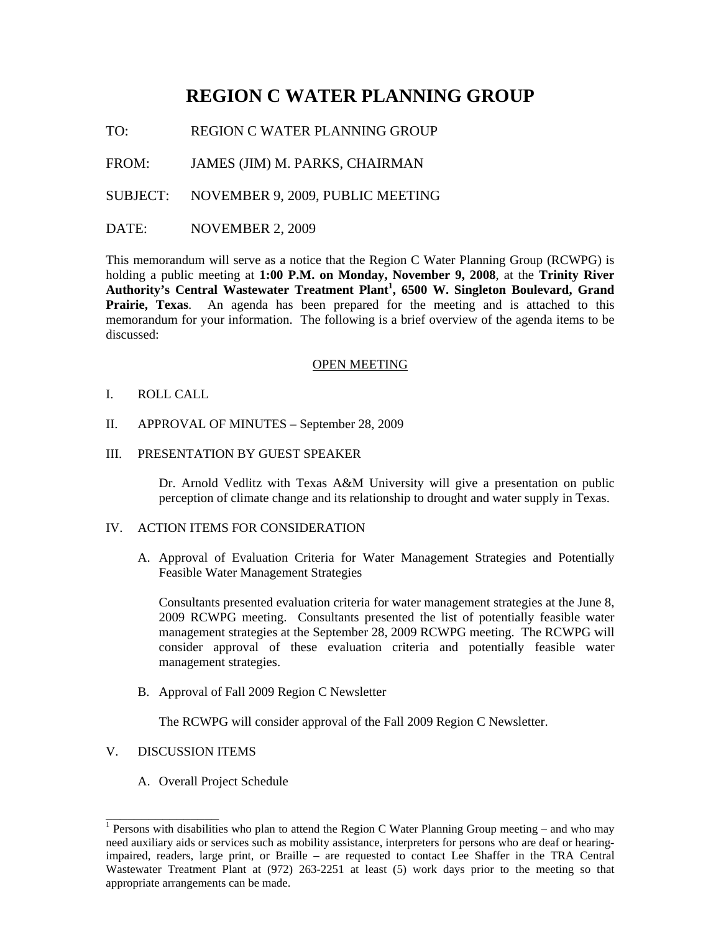# **REGION C WATER PLANNING GROUP**

TO: REGION C WATER PLANNING GROUP

FROM: JAMES (JIM) M. PARKS, CHAIRMAN

SUBJECT: NOVEMBER 9, 2009, PUBLIC MEETING

## DATE: NOVEMBER 2, 2009

This memorandum will serve as a notice that the Region C Water Planning Group (RCWPG) is holding a public meeting at **1:00 P.M. on Monday, November 9, 2008**, at the **Trinity River Authority's Central Wastewater Treatment Plant<sup>1</sup> , 6500 W. Singleton Boulevard, Grand Prairie, Texas**. An agenda has been prepared for the meeting and is attached to this memorandum for your information. The following is a brief overview of the agenda items to be discussed:

#### OPEN MEETING

#### I. ROLL CALL

- II. APPROVAL OF MINUTES September 28, 2009
- III. PRESENTATION BY GUEST SPEAKER

Dr. Arnold Vedlitz with Texas A&M University will give a presentation on public perception of climate change and its relationship to drought and water supply in Texas.

#### IV. ACTION ITEMS FOR CONSIDERATION

A. Approval of Evaluation Criteria for Water Management Strategies and Potentially Feasible Water Management Strategies

Consultants presented evaluation criteria for water management strategies at the June 8, 2009 RCWPG meeting. Consultants presented the list of potentially feasible water management strategies at the September 28, 2009 RCWPG meeting. The RCWPG will consider approval of these evaluation criteria and potentially feasible water management strategies.

B. Approval of Fall 2009 Region C Newsletter

The RCWPG will consider approval of the Fall 2009 Region C Newsletter.

# V. DISCUSSION ITEMS

\_\_\_\_\_\_\_\_\_\_\_\_\_\_\_\_

A. Overall Project Schedule

<sup>&</sup>lt;sup>1</sup> Persons with disabilities who plan to attend the Region C Water Planning Group meeting – and who may need auxiliary aids or services such as mobility assistance, interpreters for persons who are deaf or hearingimpaired, readers, large print, or Braille – are requested to contact Lee Shaffer in the TRA Central Wastewater Treatment Plant at (972) 263-2251 at least (5) work days prior to the meeting so that appropriate arrangements can be made.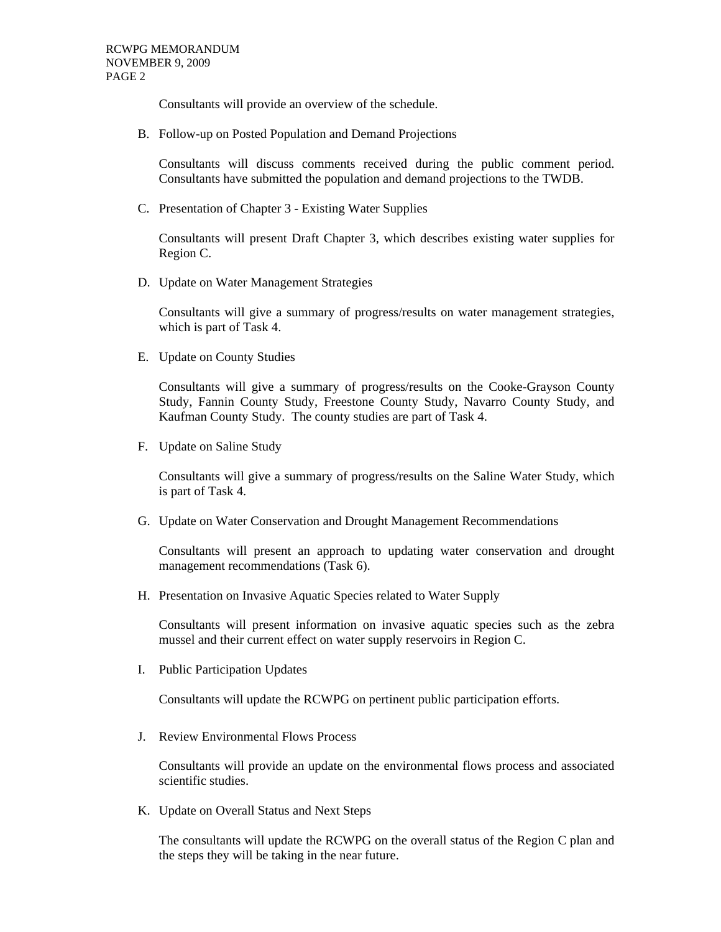Consultants will provide an overview of the schedule.

B. Follow-up on Posted Population and Demand Projections

Consultants will discuss comments received during the public comment period. Consultants have submitted the population and demand projections to the TWDB.

C. Presentation of Chapter 3 - Existing Water Supplies

Consultants will present Draft Chapter 3, which describes existing water supplies for Region C.

D. Update on Water Management Strategies

Consultants will give a summary of progress/results on water management strategies, which is part of Task 4.

E. Update on County Studies

Consultants will give a summary of progress/results on the Cooke-Grayson County Study, Fannin County Study, Freestone County Study, Navarro County Study, and Kaufman County Study. The county studies are part of Task 4.

F. Update on Saline Study

Consultants will give a summary of progress/results on the Saline Water Study, which is part of Task 4.

G. Update on Water Conservation and Drought Management Recommendations

Consultants will present an approach to updating water conservation and drought management recommendations (Task 6).

H. Presentation on Invasive Aquatic Species related to Water Supply

Consultants will present information on invasive aquatic species such as the zebra mussel and their current effect on water supply reservoirs in Region C.

I. Public Participation Updates

Consultants will update the RCWPG on pertinent public participation efforts.

J. Review Environmental Flows Process

Consultants will provide an update on the environmental flows process and associated scientific studies.

K. Update on Overall Status and Next Steps

The consultants will update the RCWPG on the overall status of the Region C plan and the steps they will be taking in the near future.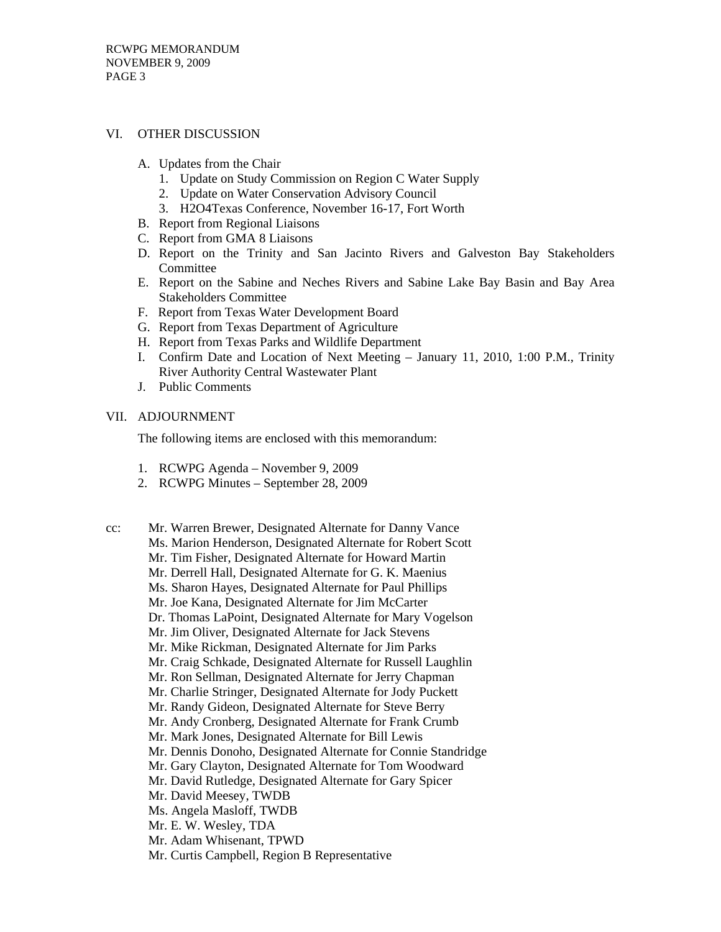## VI. OTHER DISCUSSION

- A. Updates from the Chair
	- 1. Update on Study Commission on Region C Water Supply
	- 2. Update on Water Conservation Advisory Council
	- 3. H2O4Texas Conference, November 16-17, Fort Worth
- B. Report from Regional Liaisons
- C. Report from GMA 8 Liaisons
- D. Report on the Trinity and San Jacinto Rivers and Galveston Bay Stakeholders Committee
- E. Report on the Sabine and Neches Rivers and Sabine Lake Bay Basin and Bay Area Stakeholders Committee
- F. Report from Texas Water Development Board
- G. Report from Texas Department of Agriculture
- H. Report from Texas Parks and Wildlife Department
- I. Confirm Date and Location of Next Meeting January 11, 2010, 1:00 P.M., Trinity River Authority Central Wastewater Plant
- J. Public Comments

## VII. ADJOURNMENT

The following items are enclosed with this memorandum:

- 1. RCWPG Agenda November 9, 2009
- 2. RCWPG Minutes September 28, 2009

cc: Mr. Warren Brewer, Designated Alternate for Danny Vance Ms. Marion Henderson, Designated Alternate for Robert Scott Mr. Tim Fisher, Designated Alternate for Howard Martin Mr. Derrell Hall, Designated Alternate for G. K. Maenius Ms. Sharon Hayes, Designated Alternate for Paul Phillips Mr. Joe Kana, Designated Alternate for Jim McCarter Dr. Thomas LaPoint, Designated Alternate for Mary Vogelson Mr. Jim Oliver, Designated Alternate for Jack Stevens Mr. Mike Rickman, Designated Alternate for Jim Parks Mr. Craig Schkade, Designated Alternate for Russell Laughlin Mr. Ron Sellman, Designated Alternate for Jerry Chapman Mr. Charlie Stringer, Designated Alternate for Jody Puckett Mr. Randy Gideon, Designated Alternate for Steve Berry Mr. Andy Cronberg, Designated Alternate for Frank Crumb Mr. Mark Jones, Designated Alternate for Bill Lewis Mr. Dennis Donoho, Designated Alternate for Connie Standridge Mr. Gary Clayton, Designated Alternate for Tom Woodward Mr. David Rutledge, Designated Alternate for Gary Spicer Mr. David Meesey, TWDB Ms. Angela Masloff, TWDB Mr. E. W. Wesley, TDA Mr. Adam Whisenant, TPWD Mr. Curtis Campbell, Region B Representative